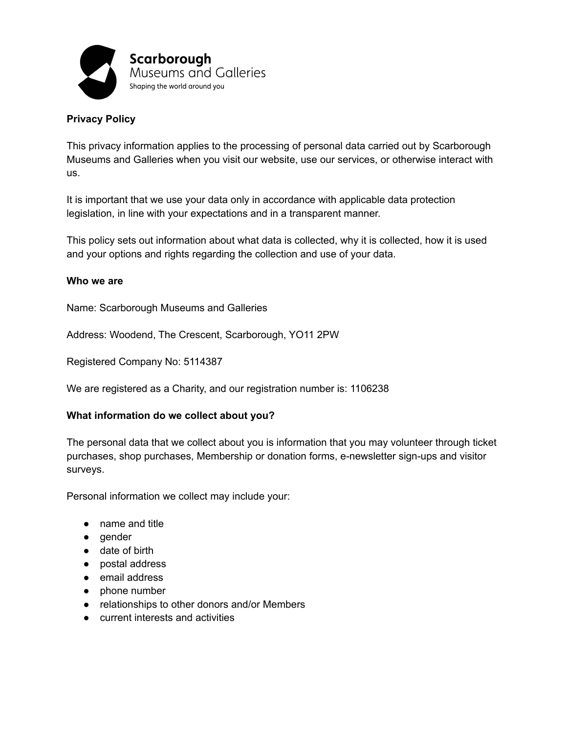

# **Privacy Policy**

This privacy information applies to the processing of personal data carried out by Scarborough Museums and Galleries when you visit our website, use our services, or otherwise interact with us.

It is important that we use your data only in accordance with applicable data protection legislation, in line with your expectations and in a transparent manner.

This policy sets out information about what data is collected, why it is collected, how it is used and your options and rights regarding the collection and use of your data.

#### **Who we are**

Name: Scarborough Museums and Galleries

Address: Woodend, The Crescent, Scarborough, YO11 2PW

Registered Company No: 5114387

We are registered as a Charity, and our registration number is: 1106238

#### **What information do we collect about you?**

The personal data that we collect about you is information that you may volunteer through ticket purchases, shop purchases, Membership or donation forms, e-newsletter sign-ups and visitor surveys.

Personal information we collect may include your:

- name and title
- gender
- date of birth
- postal address
- email address
- phone number
- relationships to other donors and/or Members
- **current interests and activities**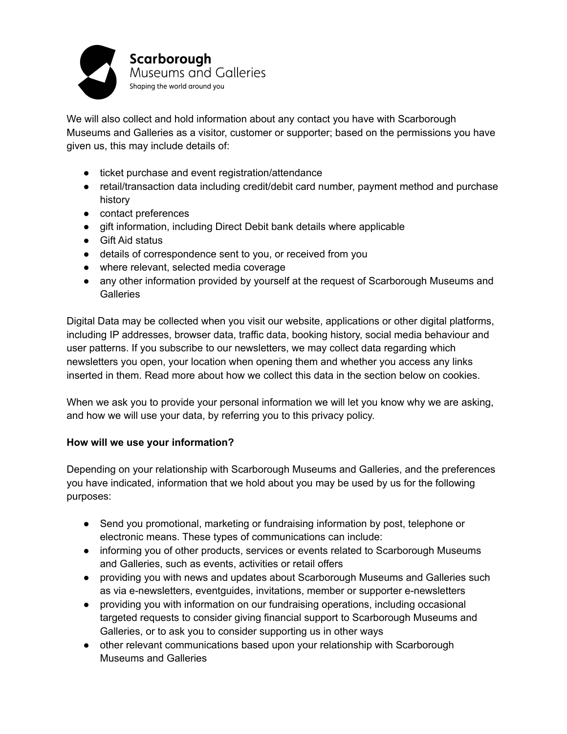

We will also collect and hold information about any contact you have with Scarborough Museums and Galleries as a visitor, customer or supporter; based on the permissions you have given us, this may include details of:

- ticket purchase and event registration/attendance
- retail/transaction data including credit/debit card number, payment method and purchase history
- contact preferences
- gift information, including Direct Debit bank details where applicable
- Gift Aid status
- details of correspondence sent to you, or received from you
- where relevant, selected media coverage
- any other information provided by yourself at the request of Scarborough Museums and **Galleries**

Digital Data may be collected when you visit our website, applications or other digital platforms, including IP addresses, browser data, traffic data, booking history, social media behaviour and user patterns. If you subscribe to our newsletters, we may collect data regarding which newsletters you open, your location when opening them and whether you access any links inserted in them. Read more about how we collect this data in the section below on cookies.

When we ask you to provide your personal information we will let you know why we are asking, and how we will use your data, by referring you to this privacy policy.

## **How will we use your information?**

Depending on your relationship with Scarborough Museums and Galleries, and the preferences you have indicated, information that we hold about you may be used by us for the following purposes:

- Send you promotional, marketing or fundraising information by post, telephone or electronic means. These types of communications can include:
- informing you of other products, services or events related to Scarborough Museums and Galleries, such as events, activities or retail offers
- providing you with news and updates about Scarborough Museums and Galleries such as via e-newsletters, eventguides, invitations, member or supporter e-newsletters
- providing you with information on our fundraising operations, including occasional targeted requests to consider giving financial support to Scarborough Museums and Galleries, or to ask you to consider supporting us in other ways
- other relevant communications based upon your relationship with Scarborough Museums and Galleries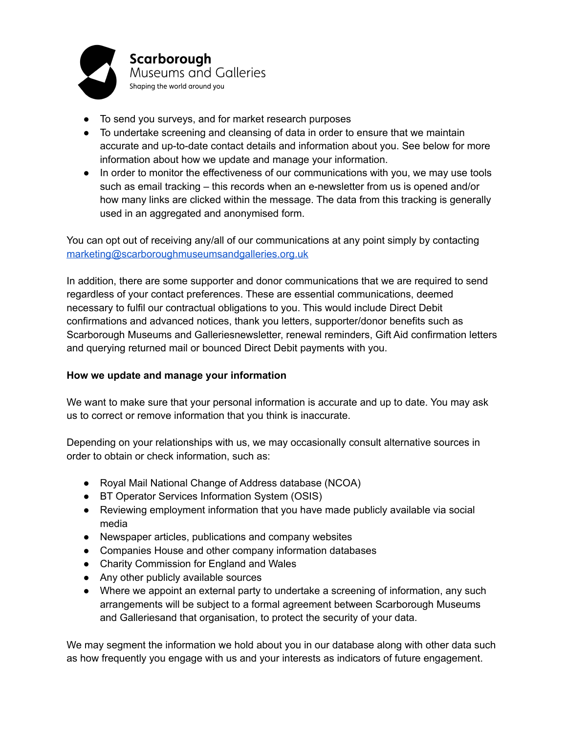

- To send you surveys, and for market research purposes
- To undertake screening and cleansing of data in order to ensure that we maintain accurate and up-to-date contact details and information about you. See below for more information about how we update and manage your information.
- In order to monitor the effectiveness of our communications with you, we may use tools such as email tracking – this records when an e-newsletter from us is opened and/or how many links are clicked within the message. The data from this tracking is generally used in an aggregated and anonymised form.

You can opt out of receiving any/all of our communications at any point simply by contacting [marketing@scarboroughmuseumsandgalleries.org.uk](mailto:marketing@scarboroughmuseumsandgalleries.org.uk)

In addition, there are some supporter and donor communications that we are required to send regardless of your contact preferences. These are essential communications, deemed necessary to fulfil our contractual obligations to you. This would include Direct Debit confirmations and advanced notices, thank you letters, supporter/donor benefits such as Scarborough Museums and Galleriesnewsletter, renewal reminders, Gift Aid confirmation letters and querying returned mail or bounced Direct Debit payments with you.

## **How we update and manage your information**

We want to make sure that your personal information is accurate and up to date. You may ask us to correct or remove information that you think is inaccurate.

Depending on your relationships with us, we may occasionally consult alternative sources in order to obtain or check information, such as:

- Royal Mail National Change of Address database (NCOA)
- BT Operator Services Information System (OSIS)
- Reviewing employment information that you have made publicly available via social media
- Newspaper articles, publications and company websites
- Companies House and other company information databases
- Charity Commission for England and Wales
- Any other publicly available sources
- Where we appoint an external party to undertake a screening of information, any such arrangements will be subject to a formal agreement between Scarborough Museums and Galleriesand that organisation, to protect the security of your data.

We may segment the information we hold about you in our database along with other data such as how frequently you engage with us and your interests as indicators of future engagement.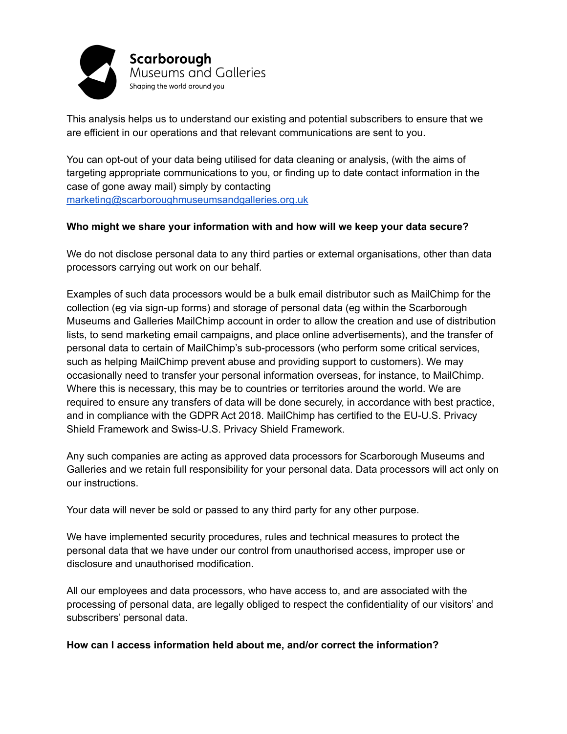

This analysis helps us to understand our existing and potential subscribers to ensure that we are efficient in our operations and that relevant communications are sent to you.

You can opt-out of your data being utilised for data cleaning or analysis, (with the aims of targeting appropriate communications to you, or finding up to date contact information in the case of gone away mail) simply by contacting [marketing@scarboroughmuseumsandgalleries.org.uk](mailto:marketing@scarboroughmuseumsandgalleries.org.uk)

### **Who might we share your information with and how will we keep your data secure?**

We do not disclose personal data to any third parties or external organisations, other than data processors carrying out work on our behalf.

Examples of such data processors would be a bulk email distributor such as MailChimp for the collection (eg via sign-up forms) and storage of personal data (eg within the Scarborough Museums and Galleries MailChimp account in order to allow the creation and use of distribution lists, to send marketing email campaigns, and place online advertisements), and the transfer of personal data to certain of MailChimp's sub-processors (who perform some critical services, such as helping MailChimp prevent abuse and providing support to customers). We may occasionally need to transfer your personal information overseas, for instance, to MailChimp. Where this is necessary, this may be to countries or territories around the world. We are required to ensure any transfers of data will be done securely, in accordance with best practice, and in compliance with the GDPR Act 2018. MailChimp has certified to the EU-U.S. Privacy Shield Framework and Swiss-U.S. Privacy Shield Framework.

Any such companies are acting as approved data processors for Scarborough Museums and Galleries and we retain full responsibility for your personal data. Data processors will act only on our instructions.

Your data will never be sold or passed to any third party for any other purpose.

We have implemented security procedures, rules and technical measures to protect the personal data that we have under our control from unauthorised access, improper use or disclosure and unauthorised modification.

All our employees and data processors, who have access to, and are associated with the processing of personal data, are legally obliged to respect the confidentiality of our visitors' and subscribers' personal data.

#### **How can I access information held about me, and/or correct the information?**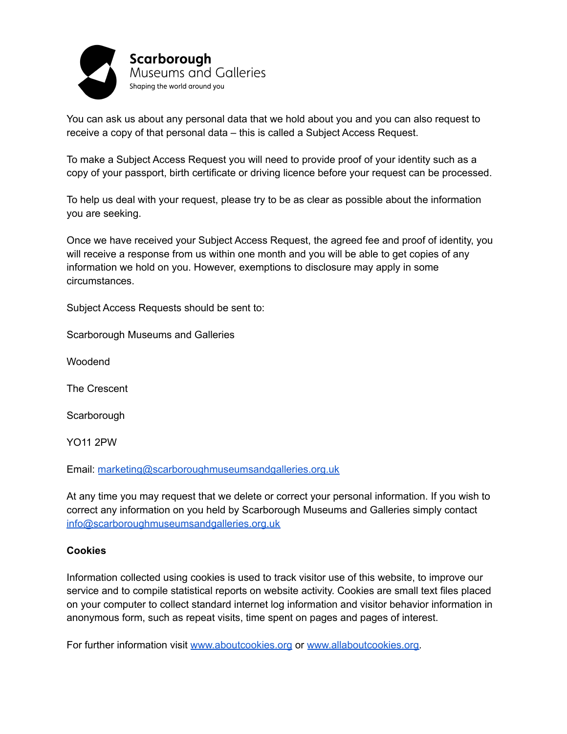

You can ask us about any personal data that we hold about you and you can also request to receive a copy of that personal data – this is called a Subject Access Request.

To make a Subject Access Request you will need to provide proof of your identity such as a copy of your passport, birth certificate or driving licence before your request can be processed.

To help us deal with your request, please try to be as clear as possible about the information you are seeking.

Once we have received your Subject Access Request, the agreed fee and proof of identity, you will receive a response from us within one month and you will be able to get copies of any information we hold on you. However, exemptions to disclosure may apply in some circumstances.

Subject Access Requests should be sent to:

Scarborough Museums and Galleries

Woodend

The Crescent

**Scarborough** 

YO11 2PW

Email: [marketing@scarboroughmuseumsandgalleries.org.uk](mailto:marketing@scarboroughmuseumsandgalleries.org.uk)

At any time you may request that we delete or correct your personal information. If you wish to correct any information on you held by Scarborough Museums and Galleries simply contact [info@scarboroughmuseumsandgalleries.org.uk](mailto:marketing@scarboroughmuseumsandgalleries.org.uk)

#### **Cookies**

Information collected using cookies is used to track visitor use of this website, to improve our service and to compile statistical reports on website activity. Cookies are small text files placed on your computer to collect standard internet log information and visitor behavior information in anonymous form, such as repeat visits, time spent on pages and pages of interest.

For further information visit [www.aboutcookies.org](http://www.aboutcookies.org) or [www.allaboutcookies.org.](http://www.allaboutcookies.org)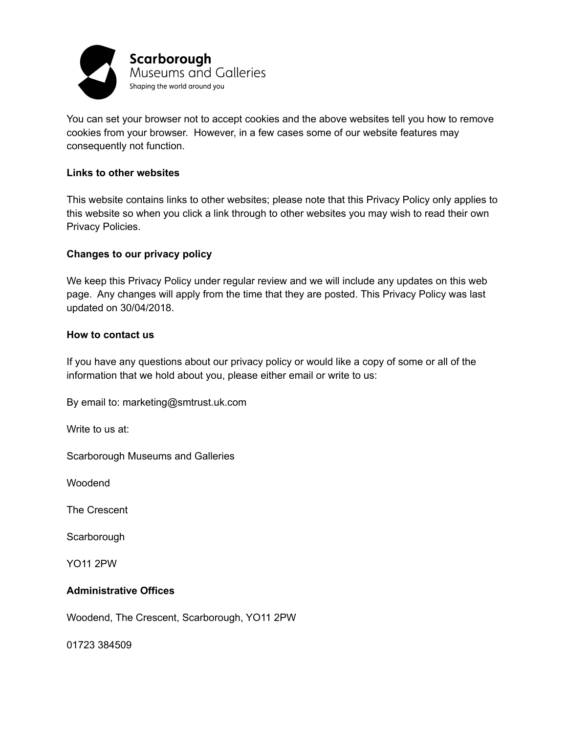

You can set your browser not to accept cookies and the above websites tell you how to remove cookies from your browser. However, in a few cases some of our website features may consequently not function.

#### **Links to other websites**

This website contains links to other websites; please note that this Privacy Policy only applies to this website so when you click a link through to other websites you may wish to read their own Privacy Policies.

### **Changes to our privacy policy**

We keep this Privacy Policy under regular review and we will include any updates on this web page. Any changes will apply from the time that they are posted. This Privacy Policy was last updated on 30/04/2018.

#### **How to contact us**

If you have any questions about our privacy policy or would like a copy of some or all of the information that we hold about you, please either email or write to us:

By email to: marketing@smtrust.uk.com

Write to us at:

Scarborough Museums and Galleries

Woodend

The Crescent

**Scarborough** 

YO11 2PW

## **Administrative Offices**

Woodend, The Crescent, Scarborough, YO11 2PW

01723 384509